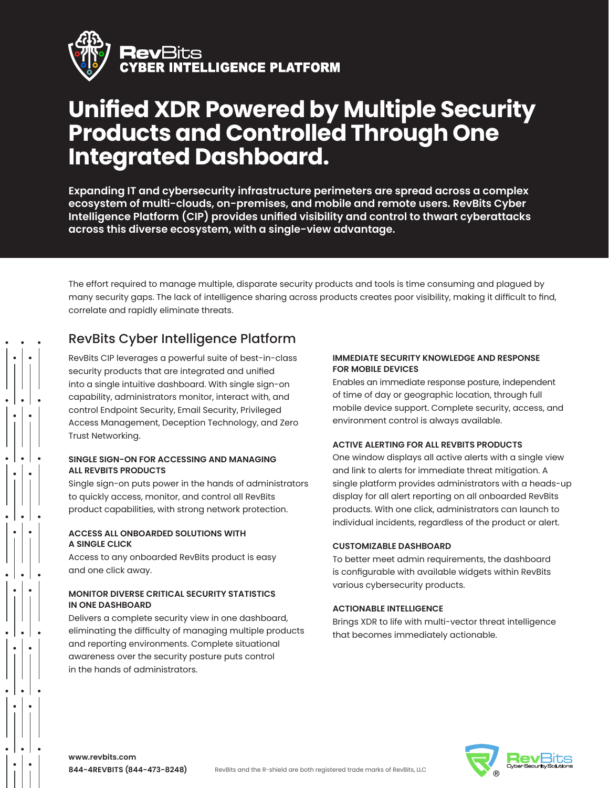

# **Unified XDR Powered by Multiple Security Products and Controlled Through One Integrated Dashboard.**

**Expanding IT and cybersecurity infrastructure perimeters are spread across a complex ecosystem of multi-clouds, on-premises, and mobile and remote users. RevBits Cyber Intelligence Platform (CIP) provides unified visibility and control to thwart cyberattacks across this diverse ecosystem, with a single-view advantage.**

The effort required to manage multiple, disparate security products and tools is time consuming and plagued by many security gaps. The lack of intelligence sharing across products creates poor visibility, making it difficult to find, correlate and rapidly eliminate threats.

## RevBits Cyber Intelligence Platform

RevBits CIP leverages a powerful suite of best-in-class security products that are integrated and unified into a single intuitive dashboard. With single sign-on capability, administrators monitor, interact with, and control Endpoint Security, Email Security, Privileged Access Management, Deception Technology, and Zero Trust Networking.

### **SINGLE SIGN-ON FOR ACCESSING AND MANAGING ALL REVBITS PRODUCTS**

Single sign-on puts power in the hands of administrators to quickly access, monitor, and control all RevBits product capabilities, with strong network protection.

### **ACCESS ALL ONBOARDED SOLUTIONS WITH A SINGLE CLICK**

Access to any onboarded RevBits product is easy and one click away.

### **MONITOR DIVERSE CRITICAL SECURITY STATISTICS IN ONE DASHBOARD**

Delivers a complete security view in one dashboard, eliminating the difficulty of managing multiple products and reporting environments. Complete situational awareness over the security posture puts control in the hands of administrators.

### **IMMEDIATE SECURITY KNOWLEDGE AND RESPONSE FOR MOBILE DEVICES**

Enables an immediate response posture, independent of time of day or geographic location, through full mobile device support. Complete security, access, and environment control is always available.

### **ACTIVE ALERTING FOR ALL REVBITS PRODUCTS**

One window displays all active alerts with a single view and link to alerts for immediate threat mitigation. A single platform provides administrators with a heads-up display for all alert reporting on all onboarded RevBits products. With one click, administrators can launch to individual incidents, regardless of the product or alert.

### **CUSTOMIZABLE DASHBOARD**

To better meet admin requirements, the dashboard is configurable with available widgets within RevBits various cybersecurity products.

### **ACTIONABLE INTELLIGENCE**

Brings XDR to life with multi-vector threat intelligence that becomes immediately actionable.



**www.revbits.com 844-4REVBITS (844-473-8248)**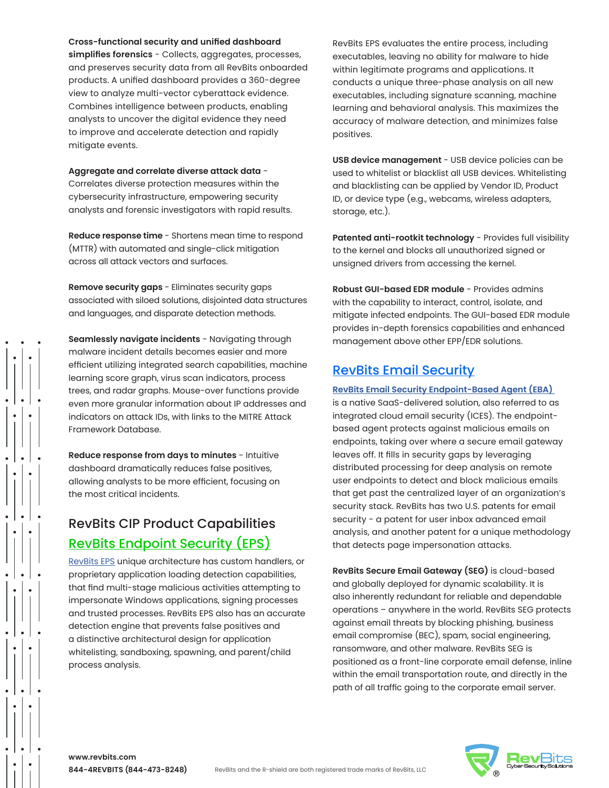**Cross-functional security and unified dashboard simplifies forensics** - Collects, aggregates, processes, and preserves security data from all RevBits onboarded products. A unified dashboard provides a 360-degree view to analyze multi-vector cyberattack evidence. Combines intelligence between products, enabling analysts to uncover the digital evidence they need to improve and accelerate detection and rapidly mitigate events.

**Aggregate and correlate diverse attack data** - Correlates diverse protection measures within the cybersecurity infrastructure, empowering security analysts and forensic investigators with rapid results.

**Reduce response time** - Shortens mean time to respond (MTTR) with automated and single-click mitigation across all attack vectors and surfaces.

**Remove security gaps** - Eliminates security gaps associated with siloed solutions, disjointed data structures and languages, and disparate detection methods.

**Seamlessly navigate incidents** - Navigating through malware incident details becomes easier and more efficient utilizing integrated search capabilities, machine learning score graph, virus scan indicators, process trees, and radar graphs. Mouse-over functions provide even more granular information about IP addresses and indicators on attack IDs, with links to the MITRE Attack Framework Database.

**Reduce response from days to minutes** - Intuitive dashboard dramatically reduces false positives, allowing analysts to be more efficient, focusing on the most critical incidents.

# RevBits CIP Product Capabilities [RevBits Endpoint Security \(EPS\)](https://www.revbits.com/products/revbits-endpoint-security)

[RevBits EPS](https://www.revbits.com/pdf/RevBits-Endpoint-Security-Datasheet%20(06-11-2021).pdf) unique architecture has custom handlers, or proprietary application loading detection capabilities, that find multi-stage malicious activities attempting to impersonate Windows applications, signing processes and trusted processes. RevBits EPS also has an accurate detection engine that prevents false positives and a distinctive architectural design for application whitelisting, sandboxing, spawning, and parent/child process analysis.

RevBits EPS evaluates the entire process, including executables, leaving no ability for malware to hide within legitimate programs and applications. It conducts a unique three-phase analysis on all new executables, including signature scanning, machine learning and behavioral analysis. This maximizes the accuracy of malware detection, and minimizes false positives.

**USB device management** - USB device policies can be used to whitelist or blacklist all USB devices. Whitelisting and blacklisting can be applied by Vendor ID, Product ID, or device type (e.g., webcams, wireless adapters, storage, etc.).

Patented anti-rootkit technology - Provides full visibility to the kernel and blocks all unauthorized signed or unsigned drivers from accessing the kernel.

**Robust GUI-based EDR module** - Provides admins with the capability to interact, control, isolate, and mitigate infected endpoints. The GUI-based EDR module provides in-depth forensics capabilities and enhanced management above other EPP/EDR solutions.

### [RevBits Email Security](www.revbits.com/products/revbits-email-security)

**[RevBits Email Security Endpoint-Based Agent \(EBA\)](https://www.revbits.com/pdf/pdf-2021/RevBits-Email-Security-Datasheet-(09012021).pdf)**

is a native SaaS-delivered solution, also referred to as integrated cloud email security (ICES). The endpointbased agent protects against malicious emails on endpoints, taking over where a secure email gateway leaves off. It fills in security gaps by leveraging distributed processing for deep analysis on remote user endpoints to detect and block malicious emails that get past the centralized layer of an organization's security stack. RevBits has two U.S. patents for email security - a patent for user inbox advanced email analysis, and another patent for a unique methodology that detects page impersonation attacks.

**RevBits Secure Email Gateway (SEG)** is cloud-based and globally deployed for dynamic scalability. It is also inherently redundant for reliable and dependable operations – anywhere in the world. RevBits SEG protects against email threats by blocking phishing, business email compromise (BEC), spam, social engineering, ransomware, and other malware. RevBits SEG is positioned as a front-line corporate email defense, inline within the email transportation route, and directly in the path of all traffic going to the corporate email server.

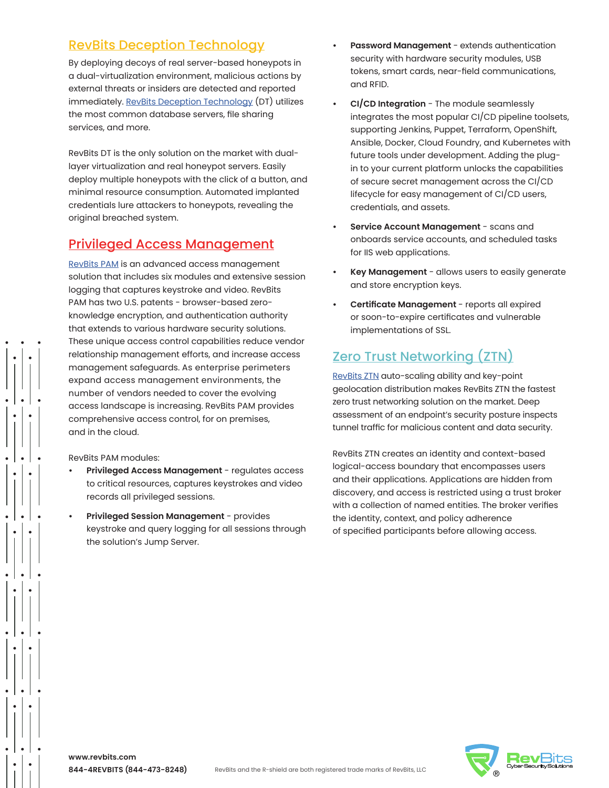### [RevBits Deception Technology](https://www.revbits.com/products/revbits-deception-technology)

By deploying decoys of real server-based honeypots in a dual-virtualization environment, malicious actions by external threats or insiders are detected and reported immediately. [RevBits Deception Technology](https://www.revbits.com/pdf/pdf-2021/RevBits-Deception-Technology-Datasheet.pdf) (DT) utilizes the most common database servers, file sharing services, and more.

RevBits DT is the only solution on the market with duallayer virtualization and real honeypot servers. Easily deploy multiple honeypots with the click of a button, and minimal resource consumption. Automated implanted credentials lure attackers to honeypots, revealing the original breached system.

### [Privileged Access Management](https://www.revbits.com/products/revbits-privileged-access-management)

[RevBits PAM](https://www.revbits.com/pdf/RevBits-Privileged-Access-Management-Datasheet(231121).pdf) is an advanced access management solution that includes six modules and extensive session logging that captures keystroke and video. RevBits PAM has two U.S. patents - browser-based zeroknowledge encryption, and authentication authority that extends to various hardware security solutions. These unique access control capabilities reduce vendor relationship management efforts, and increase access management safeguards. As enterprise perimeters expand access management environments, the number of vendors needed to cover the evolving access landscape is increasing. RevBits PAM provides comprehensive access control, for on premises, and in the cloud.

RevBits PAM modules:

- **• Privileged Access Management** regulates access to critical resources, captures keystrokes and video records all privileged sessions.
- **• Privileged Session Management** provides keystroke and query logging for all sessions through the solution's Jump Server.
- **• Password Management** extends authentication security with hardware security modules, USB tokens, smart cards, near-field communications, and RFID.
- **• CI/CD Integration** The module seamlessly integrates the most popular CI/CD pipeline toolsets, supporting Jenkins, Puppet, Terraform, OpenShift, Ansible, Docker, Cloud Foundry, and Kubernetes with future tools under development. Adding the plugin to your current platform unlocks the capabilities of secure secret management across the CI/CD lifecycle for easy management of CI/CD users, credentials, and assets.
- **• Service Account Management** scans and onboards service accounts, and scheduled tasks for IIS web applications.
- **• Key Management** allows users to easily generate and store encryption keys.
- **• Certificate Management**  reports all expired or soon-to-expire certificates and vulnerable implementations of SSL.

# [Zero Trust Networking \(ZTN\)](https://www.revbits.com/products/zero-trust-network)

[RevBits ZTN](https://www.revbits.com/pdf/Zero-Trust-Network-Overview%20(18-08-2021).pdf) auto-scaling ability and key-point geolocation distribution makes RevBits ZTN the fastest zero trust networking solution on the market. Deep assessment of an endpoint's security posture inspects tunnel traffic for malicious content and data security.

RevBits ZTN creates an identity and context-based logical-access boundary that encompasses users and their applications. Applications are hidden from discovery, and access is restricted using a trust broker with a collection of named entities. The broker verifies the identity, context, and policy adherence of specified participants before allowing access.

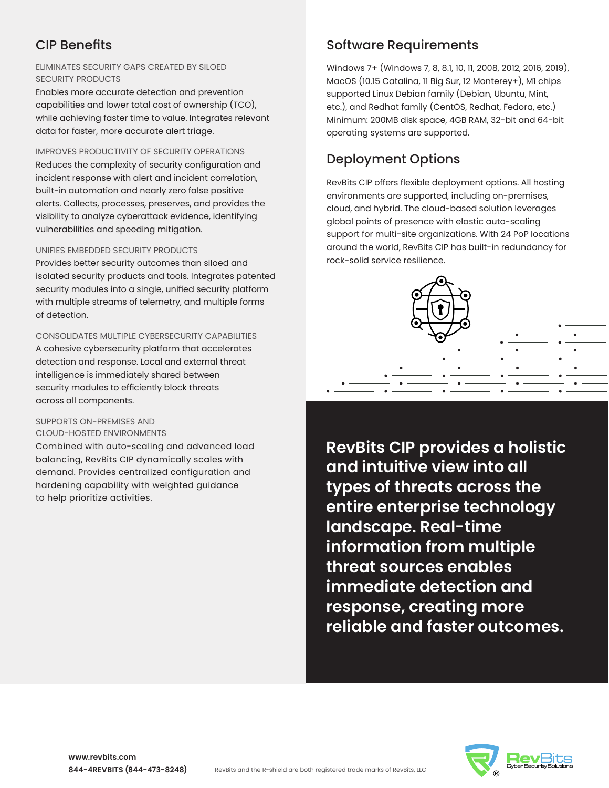# CIP Benefits

### ELIMINATES SECURITY GAPS CREATED BY SILOED SECURITY PRODUCTS

Enables more accurate detection and prevention capabilities and lower total cost of ownership (TCO), while achieving faster time to value. Integrates relevant data for faster, more accurate alert triage.

### IMPROVES PRODUCTIVITY OF SECURITY OPERATIONS

Reduces the complexity of security configuration and incident response with alert and incident correlation, built-in automation and nearly zero false positive alerts. Collects, processes, preserves, and provides the visibility to analyze cyberattack evidence, identifying vulnerabilities and speeding mitigation.

### UNIFIES EMBEDDED SECURITY PRODUCTS

Provides better security outcomes than siloed and isolated security products and tools. Integrates patented security modules into a single, unified security platform with multiple streams of telemetry, and multiple forms of detection.

### CONSOLIDATES MULTIPLE CYBERSECURITY CAPABILITIES

A cohesive cybersecurity platform that accelerates detection and response. Local and external threat intelligence is immediately shared between security modules to efficiently block threats across all components.

### SUPPORTS ON-PREMISES AND CLOUD-HOSTED ENVIRONMENTS

Combined with auto-scaling and advanced load balancing, RevBits CIP dynamically scales with demand. Provides centralized configuration and hardening capability with weighted guidance to help prioritize activities.

# Software Requirements

Windows 7+ (Windows 7, 8, 8.1, 10, 11, 2008, 2012, 2016, 2019), MacOS (10.15 Catalina, 11 Big Sur, 12 Monterey+), M1 chips supported Linux Debian family (Debian, Ubuntu, Mint, etc.), and Redhat family (CentOS, Redhat, Fedora, etc.) Minimum: 200MB disk space, 4GB RAM, 32-bit and 64-bit operating systems are supported.

# Deployment Options

RevBits CIP offers flexible deployment options. All hosting environments are supported, including on-premises, cloud, and hybrid. The cloud-based solution leverages global points of presence with elastic auto-scaling support for multi-site organizations. With 24 PoP locations around the world, RevBits CIP has built-in redundancy for rock-solid service resilience.



**RevBits CIP provides a holistic and intuitive view into all types of threats across the entire enterprise technology landscape. Real-time information from multiple threat sources enables immediate detection and response, creating more reliable and faster outcomes.**